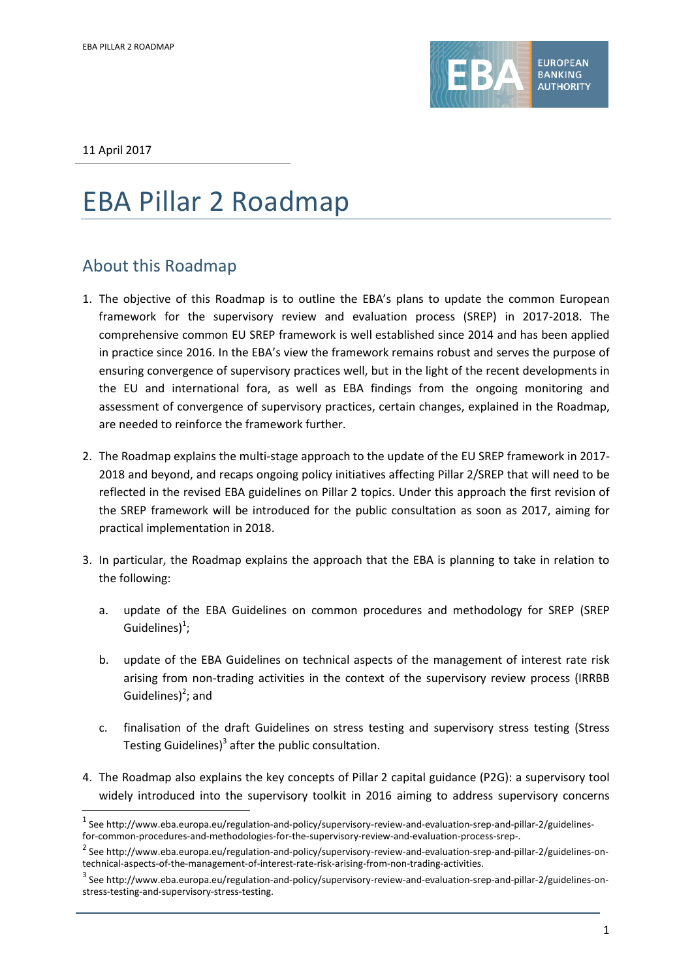

11 April 2017

1

# EBA Pillar 2 Roadmap

# About this Roadmap

- 1. The objective of this Roadmap is to outline the EBA's plans to update the common European framework for the supervisory review and evaluation process (SREP) in 2017-2018. The comprehensive common EU SREP framework is well established since 2014 and has been applied in practice since 2016. In the EBA's view the framework remains robust and serves the purpose of ensuring convergence of supervisory practices well, but in the light of the recent developments in the EU and international fora, as well as EBA findings from the ongoing monitoring and assessment of convergence of supervisory practices, certain changes, explained in the Roadmap, are needed to reinforce the framework further.
- 2. The Roadmap explains the multi-stage approach to the update of the EU SREP framework in 2017- 2018 and beyond, and recaps ongoing policy initiatives affecting Pillar 2/SREP that will need to be reflected in the revised EBA guidelines on Pillar 2 topics. Under this approach the first revision of the SREP framework will be introduced for the public consultation as soon as 2017, aiming for practical implementation in 2018.
- 3. In particular, the Roadmap explains the approach that the EBA is planning to take in relation to the following:
	- a. update of the EBA Guidelines on common procedures and methodology for SREP (SREP Guidelines) $<sup>1</sup>$ ;</sup>
	- b. update of the EBA Guidelines on technical aspects of the management of interest rate risk arising from non-trading activities in the context of the supervisory review process (IRRBB Guidelines) $2$ ; and
	- c. finalisation of the draft Guidelines on stress testing and supervisory stress testing (Stress Testing Guidelines)<sup>3</sup> after the public consultation.
- 4. The Roadmap also explains the key concepts of Pillar 2 capital guidance (P2G): a supervisory tool widely introduced into the supervisory toolkit in 2016 aiming to address supervisory concerns

 $^{\text{1}}$  See http://www.eba.europa.eu/regulation-and-policy/supervisory-review-and-evaluation-srep-and-pillar-2/guidelinesfor-common-procedures-and-methodologies-for-the-supervisory-review-and-evaluation-process-srep-.

<sup>&</sup>lt;sup>2</sup> See http://www.eba.europa.eu/regulation-and-policy/supervisory-review-and-evaluation-srep-and-pillar-2/guidelines-ontechnical-aspects-of-the-management-of-interest-rate-risk-arising-from-non-trading-activities.

 $^3$  See http://www.eba.europa.eu/regulation-and-policy/supervisory-review-and-evaluation-srep-and-pillar-2/guidelines-onstress-testing-and-supervisory-stress-testing.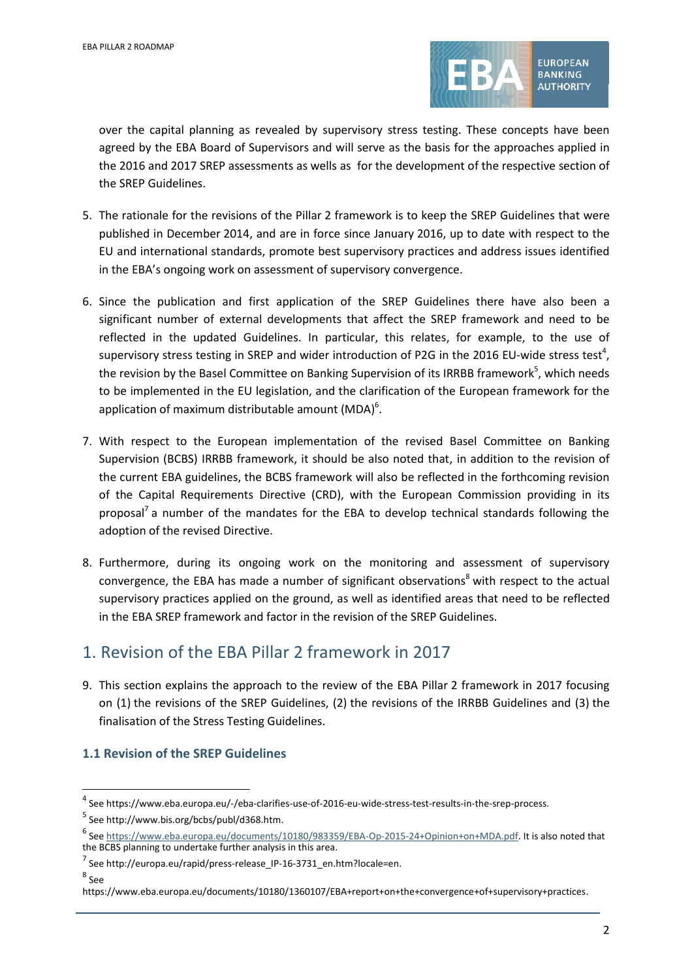

over the capital planning as revealed by supervisory stress testing. These concepts have been agreed by the EBA Board of Supervisors and will serve as the basis for the approaches applied in the 2016 and 2017 SREP assessments as wells as for the development of the respective section of the SREP Guidelines.

- 5. The rationale for the revisions of the Pillar 2 framework is to keep the SREP Guidelines that were published in December 2014, and are in force since January 2016, up to date with respect to the EU and international standards, promote best supervisory practices and address issues identified in the EBA's ongoing work on assessment of supervisory convergence.
- 6. Since the publication and first application of the SREP Guidelines there have also been a significant number of external developments that affect the SREP framework and need to be reflected in the updated Guidelines. In particular, this relates, for example, to the use of supervisory stress testing in SREP and wider introduction of P2G in the 2016 EU-wide stress test<sup>4</sup>, the revision by the Basel Committee on Banking Supervision of its IRRBB framework<sup>5</sup>, which needs to be implemented in the EU legislation, and the clarification of the European framework for the application of maximum distributable amount (MDA) $^6$ .
- 7. With respect to the European implementation of the revised Basel Committee on Banking Supervision (BCBS) IRRBB framework, it should be also noted that, in addition to the revision of the current EBA guidelines, the BCBS framework will also be reflected in the forthcoming revision of the Capital Requirements Directive (CRD), with the European Commission providing in its proposal<sup>7</sup> a number of the mandates for the EBA to develop technical standards following the adoption of the revised Directive.
- 8. Furthermore, during its ongoing work on the monitoring and assessment of supervisory convergence, the EBA has made a number of significant observations<sup>8</sup> with respect to the actual supervisory practices applied on the ground, as well as identified areas that need to be reflected in the EBA SREP framework and factor in the revision of the SREP Guidelines.

## 1. Revision of the EBA Pillar 2 framework in 2017

9. This section explains the approach to the review of the EBA Pillar 2 framework in 2017 focusing on (1) the revisions of the SREP Guidelines, (2) the revisions of the IRRBB Guidelines and (3) the finalisation of the Stress Testing Guidelines.

### **1.1 Revision of the SREP Guidelines**

8 See

1

<sup>&</sup>lt;sup>4</sup> See https://www.eba.europa.eu/-/eba-clarifies-use-of-2016-eu-wide-stress-test-results-in-the-srep-process.

<sup>&</sup>lt;sup>5</sup> See http://www.bis.org/bcbs/publ/d368.htm.

<sup>6</sup> Se[e https://www.eba.europa.eu/documents/10180/983359/EBA-Op-2015-24+Opinion+on+MDA.pdf.](https://www.eba.europa.eu/documents/10180/983359/EBA-Op-2015-24+Opinion+on+MDA.pdf) It is also noted that the BCBS planning to undertake further analysis in this area.

<sup>&</sup>lt;sup>7</sup> See http://europa.eu/rapid/press-release\_IP-16-3731\_en.htm?locale=en.

https://www.eba.europa.eu/documents/10180/1360107/EBA+report+on+the+convergence+of+supervisory+practices.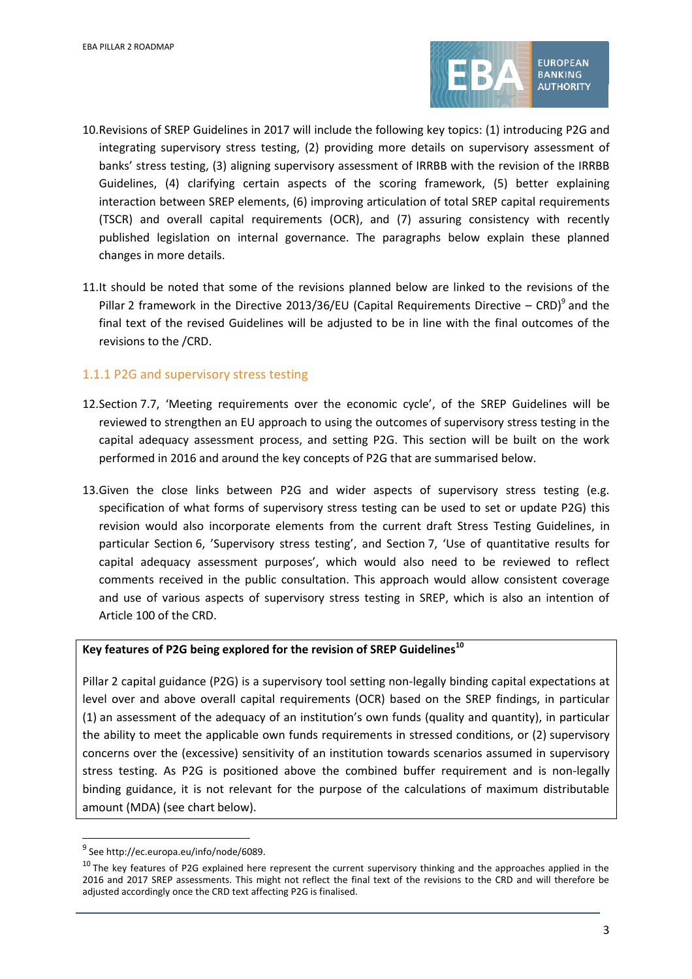

- 10.Revisions of SREP Guidelines in 2017 will include the following key topics: (1) introducing P2G and integrating supervisory stress testing, (2) providing more details on supervisory assessment of banks' stress testing, (3) aligning supervisory assessment of IRRBB with the revision of the IRRBB Guidelines, (4) clarifying certain aspects of the scoring framework, (5) better explaining interaction between SREP elements, (6) improving articulation of total SREP capital requirements (TSCR) and overall capital requirements (OCR), and (7) assuring consistency with recently published legislation on internal governance. The paragraphs below explain these planned changes in more details.
- 11.It should be noted that some of the revisions planned below are linked to the revisions of the Pillar 2 framework in the Directive 2013/36/EU (Capital Requirements Directive  $-$  CRD)<sup>9</sup> and the final text of the revised Guidelines will be adjusted to be in line with the final outcomes of the revisions to the /CRD.

#### 1.1.1 P2G and supervisory stress testing

- 12.Section 7.7, 'Meeting requirements over the economic cycle', of the SREP Guidelines will be reviewed to strengthen an EU approach to using the outcomes of supervisory stress testing in the capital adequacy assessment process, and setting P2G. This section will be built on the work performed in 2016 and around the key concepts of P2G that are summarised below.
- 13.Given the close links between P2G and wider aspects of supervisory stress testing (e.g. specification of what forms of supervisory stress testing can be used to set or update P2G) this revision would also incorporate elements from the current draft Stress Testing Guidelines, in particular Section 6, 'Supervisory stress testing', and Section 7, 'Use of quantitative results for capital adequacy assessment purposes', which would also need to be reviewed to reflect comments received in the public consultation. This approach would allow consistent coverage and use of various aspects of supervisory stress testing in SREP, which is also an intention of Article 100 of the CRD.

## **Key features of P2G being explored for the revision of SREP Guidelines<sup>10</sup>**

Pillar 2 capital guidance (P2G) is a supervisory tool setting non-legally binding capital expectations at level over and above overall capital requirements (OCR) based on the SREP findings, in particular (1) an assessment of the adequacy of an institution's own funds (quality and quantity), in particular the ability to meet the applicable own funds requirements in stressed conditions, or (2) supervisory concerns over the (excessive) sensitivity of an institution towards scenarios assumed in supervisory stress testing. As P2G is positioned above the combined buffer requirement and is non-legally binding guidance, it is not relevant for the purpose of the calculations of maximum distributable amount (MDA) (see chart below).

1

<sup>&</sup>lt;sup>9</sup> See http://ec.europa.eu/info/node/6089.

 $10$  The key features of P2G explained here represent the current supervisory thinking and the approaches applied in the 2016 and 2017 SREP assessments. This might not reflect the final text of the revisions to the CRD and will therefore be adjusted accordingly once the CRD text affecting P2G is finalised.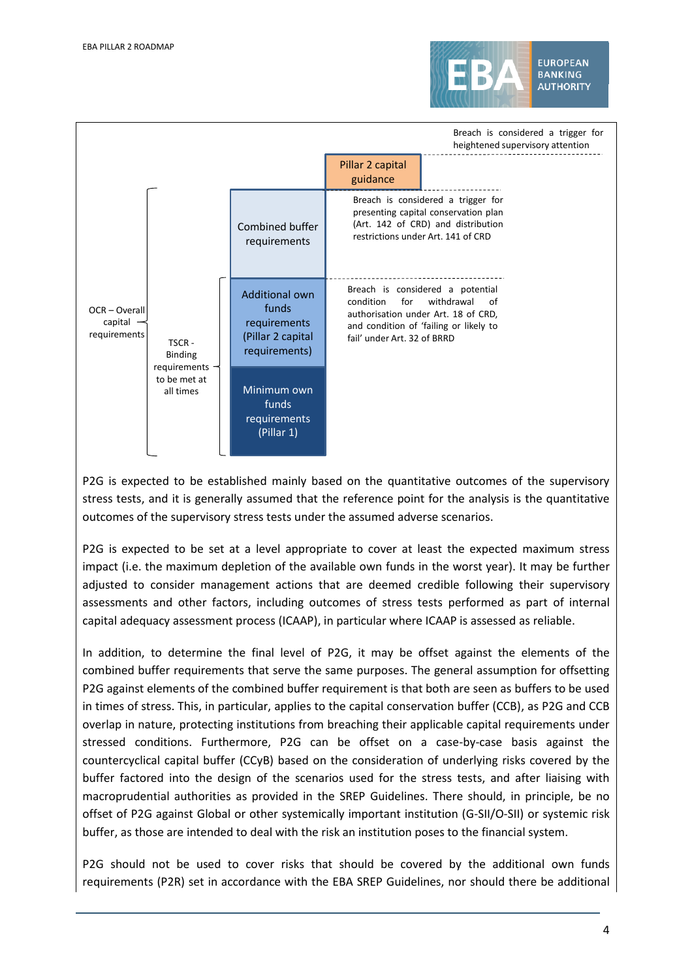



P2G is expected to be established mainly based on the quantitative outcomes of the supervisory stress tests, and it is generally assumed that the reference point for the analysis is the quantitative outcomes of the supervisory stress tests under the assumed adverse scenarios.

P2G is expected to be set at a level appropriate to cover at least the expected maximum stress impact (i.e. the maximum depletion of the available own funds in the worst year). It may be further adjusted to consider management actions that are deemed credible following their supervisory assessments and other factors, including outcomes of stress tests performed as part of internal capital adequacy assessment process (ICAAP), in particular where ICAAP is assessed as reliable.

In addition, to determine the final level of P2G, it may be offset against the elements of the combined buffer requirements that serve the same purposes. The general assumption for offsetting P2G against elements of the combined buffer requirement is that both are seen as buffers to be used in times of stress. This, in particular, applies to the capital conservation buffer (CCB), as P2G and CCB overlap in nature, protecting institutions from breaching their applicable capital requirements under stressed conditions. Furthermore, P2G can be offset on a case-by-case basis against the countercyclical capital buffer (CCyB) based on the consideration of underlying risks covered by the buffer factored into the design of the scenarios used for the stress tests, and after liaising with macroprudential authorities as provided in the SREP Guidelines. There should, in principle, be no offset of P2G against Global or other systemically important institution (G-SII/O-SII) or systemic risk buffer, as those are intended to deal with the risk an institution poses to the financial system.

P2G should not be used to cover risks that should be covered by the additional own funds requirements (P2R) set in accordance with the EBA SREP Guidelines, nor should there be additional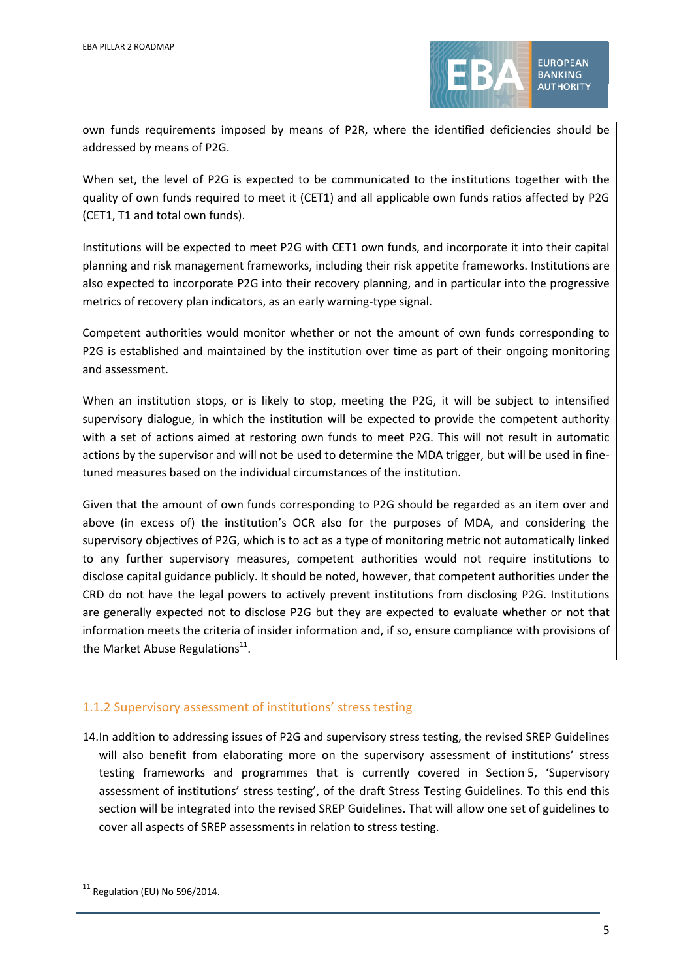

own funds requirements imposed by means of P2R, where the identified deficiencies should be addressed by means of P2G.

When set, the level of P2G is expected to be communicated to the institutions together with the quality of own funds required to meet it (CET1) and all applicable own funds ratios affected by P2G (CET1, T1 and total own funds).

Institutions will be expected to meet P2G with CET1 own funds, and incorporate it into their capital planning and risk management frameworks, including their risk appetite frameworks. Institutions are also expected to incorporate P2G into their recovery planning, and in particular into the progressive metrics of recovery plan indicators, as an early warning-type signal.

Competent authorities would monitor whether or not the amount of own funds corresponding to P2G is established and maintained by the institution over time as part of their ongoing monitoring and assessment.

When an institution stops, or is likely to stop, meeting the P2G, it will be subject to intensified supervisory dialogue, in which the institution will be expected to provide the competent authority with a set of actions aimed at restoring own funds to meet P2G. This will not result in automatic actions by the supervisor and will not be used to determine the MDA trigger, but will be used in finetuned measures based on the individual circumstances of the institution.

Given that the amount of own funds corresponding to P2G should be regarded as an item over and above (in excess of) the institution's OCR also for the purposes of MDA, and considering the supervisory objectives of P2G, which is to act as a type of monitoring metric not automatically linked to any further supervisory measures, competent authorities would not require institutions to disclose capital guidance publicly. It should be noted, however, that competent authorities under the CRD do not have the legal powers to actively prevent institutions from disclosing P2G. Institutions are generally expected not to disclose P2G but they are expected to evaluate whether or not that information meets the criteria of insider information and, if so, ensure compliance with provisions of the Market Abuse Regulations<sup>11</sup>.

#### 1.1.2 Supervisory assessment of institutions' stress testing

14.In addition to addressing issues of P2G and supervisory stress testing, the revised SREP Guidelines will also benefit from elaborating more on the supervisory assessment of institutions' stress testing frameworks and programmes that is currently covered in Section 5, 'Supervisory assessment of institutions' stress testing', of the draft Stress Testing Guidelines. To this end this section will be integrated into the revised SREP Guidelines. That will allow one set of guidelines to cover all aspects of SREP assessments in relation to stress testing.

l

 $11$  Regulation (EU) No 596/2014.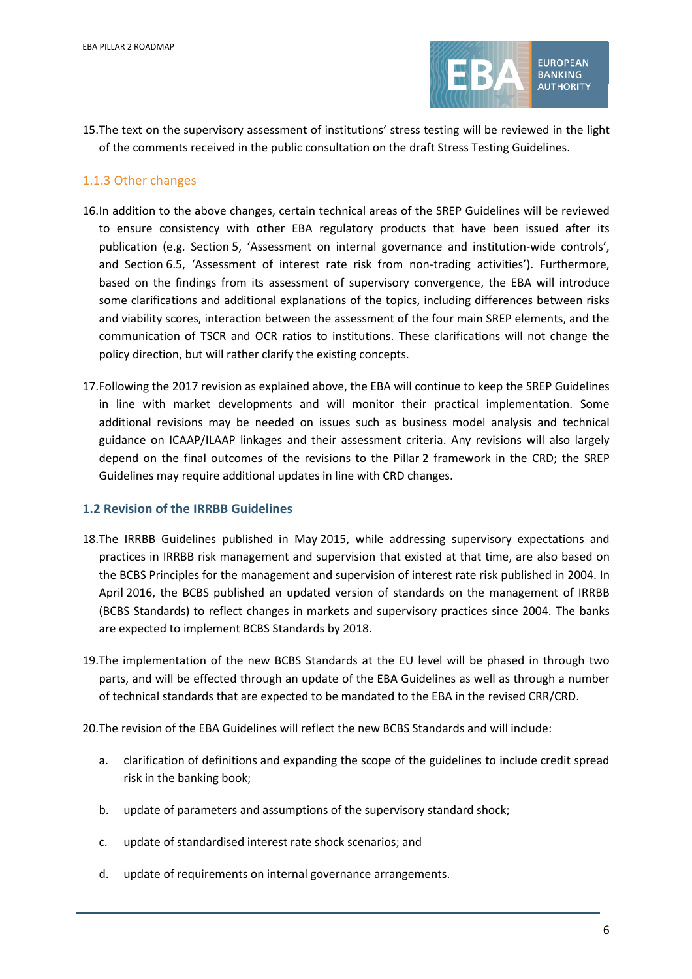

15.The text on the supervisory assessment of institutions' stress testing will be reviewed in the light of the comments received in the public consultation on the draft Stress Testing Guidelines.

#### 1.1.3 Other changes

- 16.In addition to the above changes, certain technical areas of the SREP Guidelines will be reviewed to ensure consistency with other EBA regulatory products that have been issued after its publication (e.g. Section 5, 'Assessment on internal governance and institution-wide controls', and Section 6.5, 'Assessment of interest rate risk from non-trading activities'). Furthermore, based on the findings from its assessment of supervisory convergence, the EBA will introduce some clarifications and additional explanations of the topics, including differences between risks and viability scores, interaction between the assessment of the four main SREP elements, and the communication of TSCR and OCR ratios to institutions. These clarifications will not change the policy direction, but will rather clarify the existing concepts.
- 17.Following the 2017 revision as explained above, the EBA will continue to keep the SREP Guidelines in line with market developments and will monitor their practical implementation. Some additional revisions may be needed on issues such as business model analysis and technical guidance on ICAAP/ILAAP linkages and their assessment criteria. Any revisions will also largely depend on the final outcomes of the revisions to the Pillar 2 framework in the CRD; the SREP Guidelines may require additional updates in line with CRD changes.

#### **1.2 Revision of the IRRBB Guidelines**

- 18.The IRRBB Guidelines published in May 2015, while addressing supervisory expectations and practices in IRRBB risk management and supervision that existed at that time, are also based on the BCBS Principles for the management and supervision of interest rate risk published in 2004. In April 2016, the BCBS published an updated version of standards on the management of IRRBB (BCBS Standards) to reflect changes in markets and supervisory practices since 2004. The banks are expected to implement BCBS Standards by 2018.
- 19.The implementation of the new BCBS Standards at the EU level will be phased in through two parts, and will be effected through an update of the EBA Guidelines as well as through a number of technical standards that are expected to be mandated to the EBA in the revised CRR/CRD.
- 20.The revision of the EBA Guidelines will reflect the new BCBS Standards and will include:
	- a. clarification of definitions and expanding the scope of the guidelines to include credit spread risk in the banking book;
	- b. update of parameters and assumptions of the supervisory standard shock;
	- c. update of standardised interest rate shock scenarios; and
	- d. update of requirements on internal governance arrangements.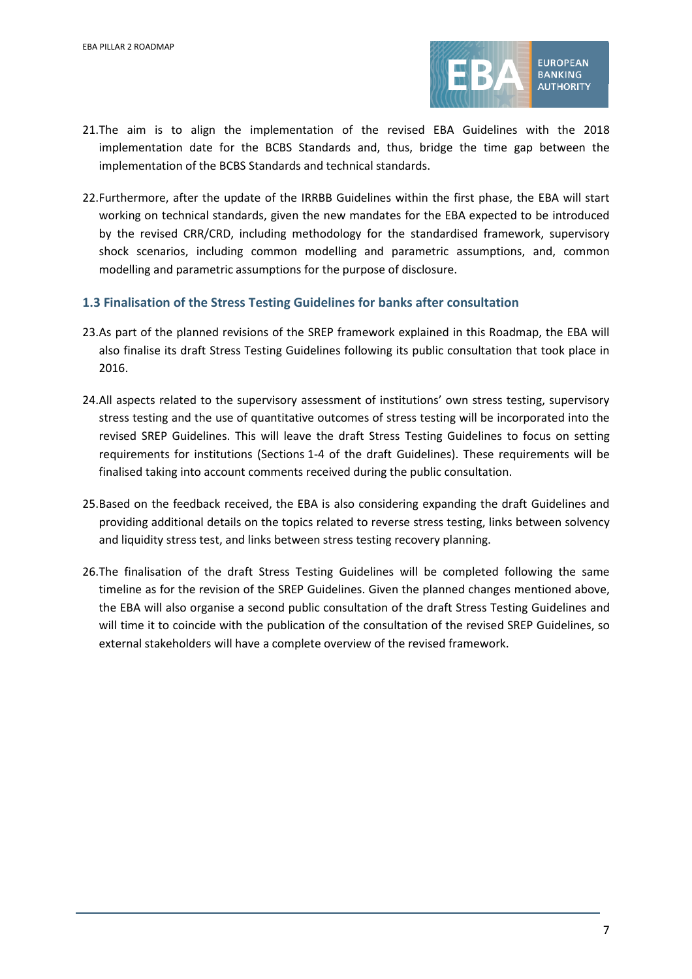

- 21.The aim is to align the implementation of the revised EBA Guidelines with the 2018 implementation date for the BCBS Standards and, thus, bridge the time gap between the implementation of the BCBS Standards and technical standards.
- 22.Furthermore, after the update of the IRRBB Guidelines within the first phase, the EBA will start working on technical standards, given the new mandates for the EBA expected to be introduced by the revised CRR/CRD, including methodology for the standardised framework, supervisory shock scenarios, including common modelling and parametric assumptions, and, common modelling and parametric assumptions for the purpose of disclosure.

#### **1.3 Finalisation of the Stress Testing Guidelines for banks after consultation**

- 23.As part of the planned revisions of the SREP framework explained in this Roadmap, the EBA will also finalise its draft Stress Testing Guidelines following its public consultation that took place in 2016.
- 24.All aspects related to the supervisory assessment of institutions' own stress testing, supervisory stress testing and the use of quantitative outcomes of stress testing will be incorporated into the revised SREP Guidelines. This will leave the draft Stress Testing Guidelines to focus on setting requirements for institutions (Sections 1-4 of the draft Guidelines). These requirements will be finalised taking into account comments received during the public consultation.
- 25.Based on the feedback received, the EBA is also considering expanding the draft Guidelines and providing additional details on the topics related to reverse stress testing, links between solvency and liquidity stress test, and links between stress testing recovery planning.
- 26.The finalisation of the draft Stress Testing Guidelines will be completed following the same timeline as for the revision of the SREP Guidelines. Given the planned changes mentioned above, the EBA will also organise a second public consultation of the draft Stress Testing Guidelines and will time it to coincide with the publication of the consultation of the revised SREP Guidelines, so external stakeholders will have a complete overview of the revised framework.